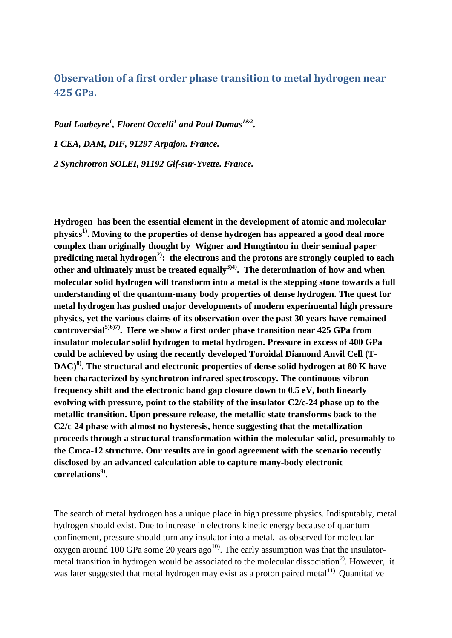# **Observation of a first order phase transition to metal hydrogen near 425 GPa.**

*Paul Loubeyre<sup>1</sup> , Florent Occelli<sup>1</sup> and Paul Dumas1&2 . 1 CEA, DAM, DIF, 91297 Arpajon. France. 2 Synchrotron SOLEI, 91192 Gif-sur-Yvette. France.*

**Hydrogen has been the essential element in the development of atomic and molecular physics1) . Moving to the properties of dense hydrogen has appeared a good deal more complex than originally thought by Wigner and Hungtinton in their seminal paper predicting metal hydrogen2): the electrons and the protons are strongly coupled to each other and ultimately must be treated equally3)4) . The determination of how and when molecular solid hydrogen will transform into a metal is the stepping stone towards a full understanding of the quantum-many body properties of dense hydrogen. The quest for metal hydrogen has pushed major developments of modern experimental high pressure physics, yet the various claims of its observation over the past 30 years have remained controversial5)6)7) . Here we show a first order phase transition near 425 GPa from insulator molecular solid hydrogen to metal hydrogen. Pressure in excess of 400 GPa could be achieved by using the recently developed Toroidal Diamond Anvil Cell (T-DAC)8) . The structural and electronic properties of dense solid hydrogen at 80 K have been characterized by synchrotron infrared spectroscopy. The continuous vibron frequency shift and the electronic band gap closure down to 0.5 eV, both linearly evolving with pressure, point to the stability of the insulator C2/c-24 phase up to the metallic transition. Upon pressure release, the metallic state transforms back to the C2/c-24 phase with almost no hysteresis, hence suggesting that the metallization proceeds through a structural transformation within the molecular solid, presumably to the Cmca-12 structure. Our results are in good agreement with the scenario recently disclosed by an advanced calculation able to capture many-body electronic correlations 9) .** 

The search of metal hydrogen has a unique place in high pressure physics. Indisputably, metal hydrogen should exist. Due to increase in electrons kinetic energy because of quantum confinement, pressure should turn any insulator into a metal, as observed for molecular oxygen around 100 GPa some 20 years ago<sup>10)</sup>. The early assumption was that the insulatormetal transition in hydrogen would be associated to the molecular dissociation<sup>2)</sup>. However, it was later suggested that metal hydrogen may exist as a proton paired metal $11$ ). Quantitative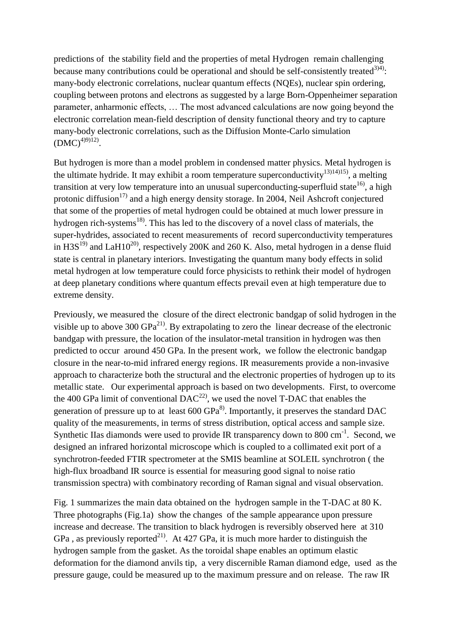predictions of the stability field and the properties of metal Hydrogen remain challenging because many contributions could be operational and should be self-consistently treated  $(3)$ <sup>4)</sup>: many-body electronic correlations, nuclear quantum effects (NQEs), nuclear spin ordering, coupling between protons and electrons as suggested by a large Born-Oppenheimer separation parameter, anharmonic effects, … The most advanced calculations are now going beyond the electronic correlation mean-field description of density functional theory and try to capture many-body electronic correlations, such as the Diffusion Monte-Carlo simulation  $(DMC)^{4(9)(12)}$ .

But hydrogen is more than a model problem in condensed matter physics. Metal hydrogen is the ultimate hydride. It may exhibit a room temperature superconductivity<sup>13)14)15</sup>, a melting transition at very low temperature into an unusual superconducting-superfluid state<sup>16</sup>, a high protonic diffusion<sup>17)</sup> and a high energy density storage. In 2004, Neil Ashcroft conjectured that some of the properties of metal hydrogen could be obtained at much lower pressure in hydrogen rich-systems<sup>18)</sup>. This has led to the discovery of a novel class of materials, the super-hydrides, associated to recent measurements of record superconductivity temperatures in H3S<sup>19)</sup> and LaH10<sup>20)</sup>, respectively 200K and 260 K. Also, metal hydrogen in a dense fluid state is central in planetary interiors. Investigating the quantum many body effects in solid metal hydrogen at low temperature could force physicists to rethink their model of hydrogen at deep planetary conditions where quantum effects prevail even at high temperature due to extreme density.

Previously, we measured the closure of the direct electronic bandgap of solid hydrogen in the visible up to above 300  $GPa^{21}$ . By extrapolating to zero the linear decrease of the electronic bandgap with pressure, the location of the insulator-metal transition in hydrogen was then predicted to occur around 450 GPa. In the present work, we follow the electronic bandgap closure in the near-to-mid infrared energy regions. IR measurements provide a non-invasive approach to characterize both the structural and the electronic properties of hydrogen up to its metallic state. Our experimental approach is based on two developments. First, to overcome the 400 GPa limit of conventional  $DAC^{22}$ , we used the novel T-DAC that enables the generation of pressure up to at least  $600 \text{ GPa}^8$ . Importantly, it preserves the standard DAC quality of the measurements, in terms of stress distribution, optical access and sample size. Synthetic IIas diamonds were used to provide IR transparency down to 800 cm<sup>-1</sup>. Second, we designed an infrared horizontal microscope which is coupled to a collimated exit port of a synchrotron-feeded FTIR spectrometer at the SMIS beamline at SOLEIL synchrotron ( the high-flux broadband IR source is essential for measuring good signal to noise ratio transmission spectra) with combinatory recording of Raman signal and visual observation.

Fig. 1 summarizes the main data obtained on the hydrogen sample in the T-DAC at 80 K. Three photographs (Fig.1a) show the changes of the sample appearance upon pressure increase and decrease. The transition to black hydrogen is reversibly observed here at 310 GPa, as previously reported<sup>21)</sup>. At 427 GPa, it is much more harder to distinguish the hydrogen sample from the gasket. As the toroidal shape enables an optimum elastic deformation for the diamond anvils tip, a very discernible Raman diamond edge, used as the pressure gauge, could be measured up to the maximum pressure and on release. The raw IR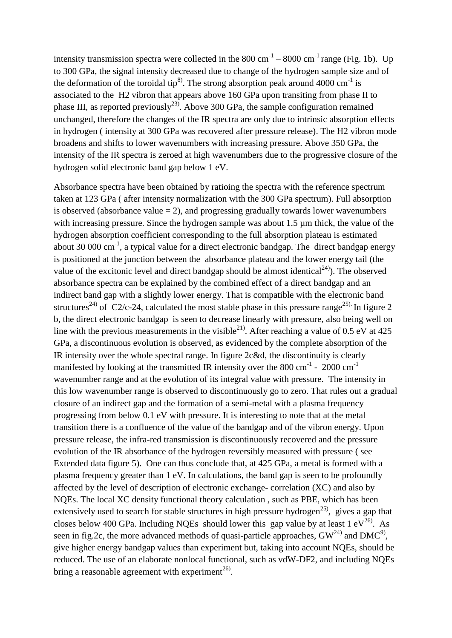intensity transmission spectra were collected in the 800 cm<sup>-1</sup> – 8000 cm<sup>-1</sup> range (Fig. 1b). Up to 300 GPa, the signal intensity decreased due to change of the hydrogen sample size and of the deformation of the toroidal tip<sup>8)</sup>. The strong absorption peak around 4000 cm<sup>-1</sup> is associated to the H2 vibron that appears above 160 GPa upon transiting from phase II to phase III, as reported previously<sup>23)</sup>. Above 300 GPa, the sample configuration remained unchanged, therefore the changes of the IR spectra are only due to intrinsic absorption effects in hydrogen ( intensity at 300 GPa was recovered after pressure release). The H2 vibron mode broadens and shifts to lower wavenumbers with increasing pressure. Above 350 GPa, the intensity of the IR spectra is zeroed at high wavenumbers due to the progressive closure of the hydrogen solid electronic band gap below 1 eV.

Absorbance spectra have been obtained by ratioing the spectra with the reference spectrum taken at 123 GPa ( after intensity normalization with the 300 GPa spectrum). Full absorption is observed (absorbance value  $= 2$ ), and progressing gradually towards lower wavenumbers with increasing pressure. Since the hydrogen sample was about 1.5  $\mu$ m thick, the value of the hydrogen absorption coefficient corresponding to the full absorption plateau is estimated about 30 000 cm<sup>-1</sup>, a typical value for a direct electronic bandgap. The direct bandgap energy is positioned at the junction between the absorbance plateau and the lower energy tail (the value of the excitonic level and direct bandgap should be almost identical<sup>24)</sup>). The observed absorbance spectra can be explained by the combined effect of a direct bandgap and an indirect band gap with a slightly lower energy. That is compatible with the electronic band structures<sup>24)</sup> of C2/c-24, calculated the most stable phase in this pressure range<sup>25).</sup> In figure 2 b, the direct electronic bandgap is seen to decrease linearly with pressure, also being well on line with the previous measurements in the visible<sup>21)</sup>. After reaching a value of 0.5 eV at 425 GPa, a discontinuous evolution is observed, as evidenced by the complete absorption of the IR intensity over the whole spectral range. In figure 2c&d, the discontinuity is clearly manifested by looking at the transmitted IR intensity over the 800 cm<sup>-1</sup> - 2000 cm<sup>-1</sup> wavenumber range and at the evolution of its integral value with pressure. The intensity in this low wavenumber range is observed to discontinuously go to zero. That rules out a gradual closure of an indirect gap and the formation of a semi-metal with a plasma frequency progressing from below 0.1 eV with pressure. It is interesting to note that at the metal transition there is a confluence of the value of the bandgap and of the vibron energy. Upon pressure release, the infra-red transmission is discontinuously recovered and the pressure evolution of the IR absorbance of the hydrogen reversibly measured with pressure ( see Extended data figure 5). One can thus conclude that, at 425 GPa, a metal is formed with a plasma frequency greater than 1 eV. In calculations, the band gap is seen to be profoundly affected by the level of description of electronic exchange- correlation (XC) and also by NQEs. The local XC density functional theory calculation , such as PBE, which has been extensively used to search for stable structures in high pressure hydrogen<sup>25)</sup>, gives a gap that closes below 400 GPa. Including NQEs should lower this gap value by at least  $1 \text{ eV}^{26}$ . As seen in fig.2c, the more advanced methods of quasi-particle approaches,  $GW^{24}$  and  $DMC^{9}$ , give higher energy bandgap values than experiment but, taking into account NQEs, should be reduced. The use of an elaborate nonlocal functional, such as vdW-DF2, and including NQEs bring a reasonable agreement with experiment<sup>26)</sup>.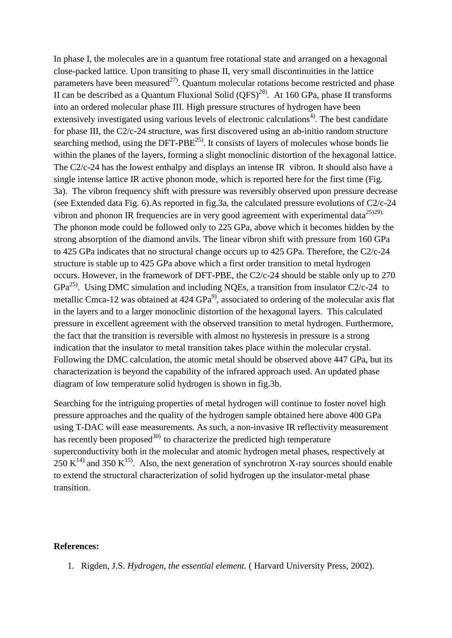In phase I, the molecules are in a quantum free rotational state and arranged on a hexagonal close-packed lattice. Upon transiting to phase II, very small discontinuities in the lattice parameters have been measured<sup>27)</sup>. Ouantum molecular rotations become restricted and phase II can be described as a Quantum Fluxional Solid  $(QFS)^{28}$ . At 160 GPa, phase II transforms into an ordered molecular phase III. High pressure structures of hydrogen have been extensively investigated using various levels of electronic calculations<sup>4)</sup>. The best candidate for phase III, the C2/c-24 structure, was first discovered using an ab-initio random structure searching method, using the  $DFT-PBE^{25}$ . It consists of layers of molecules whose bonds lie within the planes of the layers, forming a slight monoclinic distortion of the hexagonal lattice. The C2/c-24 has the lowest enthalpy and displays an intense IR vibron. It should also have a single intense lattice IR active phonon mode, which is reported here for the first time (Fig. 3a). The vibron frequency shift with pressure was reversibly observed upon pressure decrease (see Extended data Fig. 6).As reported in fig.3a, the calculated pressure evolutions of C2/c-24 vibron and phonon IR frequencies are in very good agreement with experimental data $^{25)29}$ . The phonon mode could be followed only to 225 GPa, above which it becomes hidden by the strong absorption of the diamond anvils. The linear vibron shift with pressure from 160 GPa to 425 GPa indicates that no structural change occurs up to 425 GPa. Therefore, the C2/c-24 structure is stable up to 425 GPa above which a first order transition to metal hydrogen occurs. However, in the framework of DFT-PBE, the C2/c-24 should be stable only up to 270  $GPa<sup>25)</sup>$ . Using DMC simulation and including NQEs, a transition from insulator C2/c-24 to metallic Cmca-12 was obtained at  $424 \text{ GPa}^9$ , associated to ordering of the molecular axis flat in the layers and to a larger monoclinic distortion of the hexagonal layers. This calculated pressure in excellent agreement with the observed transition to metal hydrogen. Furthermore, the fact that the transition is reversible with almost no hysteresis in pressure is a strong indication that the insulator to metal transition takes place within the molecular crystal. Following the DMC calculation, the atomic metal should be observed above 447 GPa, but its characterization is beyond the capability of the infrared approach used. An updated phase diagram of low temperature solid hydrogen is shown in fig.3b.

Searching for the intriguing properties of metal hydrogen will continue to foster novel high pressure approaches and the quality of the hydrogen sample obtained here above 400 GPa using T-DAC will ease measurements. As such, a non-invasive IR reflectivity measurement has recently been proposed $30$  to characterize the predicted high temperature superconductivity both in the molecular and atomic hydrogen metal phases, respectively at 250 K<sup>14)</sup> and 350 K<sup>15</sup>. Also, the next generation of synchrotron X-ray sources should enable to extend the structural characterization of solid hydrogen up the insulator-metal phase transition.

## **References:**

1. Rigden, J.S. *Hydrogen, the essential element.* ( Harvard University Press, 2002).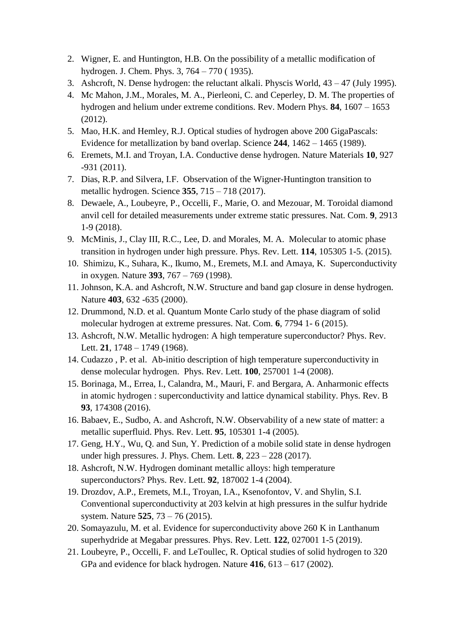- 2. Wigner, E. and Huntington, H.B. On the possibility of a metallic modification of hydrogen. J. Chem. Phys. 3, 764 – 770 ( 1935).
- 3. Ashcroft, N. Dense hydrogen: the reluctant alkali. Physcis World, 43 47 (July 1995).
- 4. Mc Mahon, J.M., Morales, M. A., Pierleoni, C. and Ceperley, D. M. The properties of hydrogen and helium under extreme conditions. Rev. Modern Phys. **84**, 1607 – 1653 (2012).
- 5. Mao, H.K. and Hemley, R.J. Optical studies of hydrogen above 200 GigaPascals: Evidence for metallization by band overlap. Science **244**, 1462 – 1465 (1989).
- 6. Eremets, M.I. and Troyan, I.A. Conductive dense hydrogen. Nature Materials **10**, 927 -931 (2011).
- 7. Dias, R.P. and Silvera, I.F. Observation of the Wigner-Huntington transition to metallic hydrogen. Science **355**, 715 – 718 (2017).
- 8. Dewaele, A., Loubeyre, P., Occelli, F., Marie, O. and Mezouar, M. Toroidal diamond anvil cell for detailed measurements under extreme static pressures. Nat. Com. **9**, 2913 1-9 (2018).
- 9. McMinis, J., Clay III, R.C., Lee, D. and Morales, M. A. Molecular to atomic phase transition in hydrogen under high pressure. Phys. Rev. Lett. **114**, 105305 1-5. (2015).
- 10. Shimizu, K., Suhara, K., Ikumo, M., Eremets, M.I. and Amaya, K. Superconductivity in oxygen. Nature **393**, 767 – 769 (1998).
- 11. Johnson, K.A. and Ashcroft, N.W. Structure and band gap closure in dense hydrogen. Nature **403**, 632 -635 (2000).
- 12. Drummond, N.D. et al. Quantum Monte Carlo study of the phase diagram of solid molecular hydrogen at extreme pressures. Nat. Com. **6**, 7794 1- 6 (2015).
- 13. Ashcroft, N.W. Metallic hydrogen: A high temperature superconductor? Phys. Rev. Lett. **21**, 1748 – 1749 (1968).
- 14. Cudazzo , P. et al. Ab-initio description of high temperature superconductivity in dense molecular hydrogen. Phys. Rev. Lett. **100**, 257001 1-4 (2008).
- 15. Borinaga, M., Errea, I., Calandra, M., Mauri, F. and Bergara, A. Anharmonic effects in atomic hydrogen : superconductivity and lattice dynamical stability. Phys. Rev. B **93**, 174308 (2016).
- 16. Babaev, E., Sudbo, A. and Ashcroft, N.W. Observability of a new state of matter: a metallic superfluid. Phys. Rev. Lett. **95**, 105301 1-4 (2005).
- 17. Geng, H.Y., Wu, Q. and Sun, Y. Prediction of a mobile solid state in dense hydrogen under high pressures. J. Phys. Chem. Lett. **8**, 223 – 228 (2017).
- 18. Ashcroft, N.W. Hydrogen dominant metallic alloys: high temperature superconductors? Phys. Rev. Lett. **92**, 187002 1-4 (2004).
- 19. Drozdov, A.P., Eremets, M.I., Troyan, I.A., Ksenofontov, V. and Shylin, S.I. Conventional superconductivity at 203 kelvin at high pressures in the sulfur hydride system. Nature **525**, 73 – 76 (2015).
- 20. Somayazulu, M. et al. Evidence for superconductivity above 260 K in Lanthanum superhydride at Megabar pressures. Phys. Rev. Lett. **122**, 027001 1-5 (2019).
- 21. Loubeyre, P., Occelli, F. and LeToullec, R. Optical studies of solid hydrogen to 320 GPa and evidence for black hydrogen. Nature **416**, 613 – 617 (2002).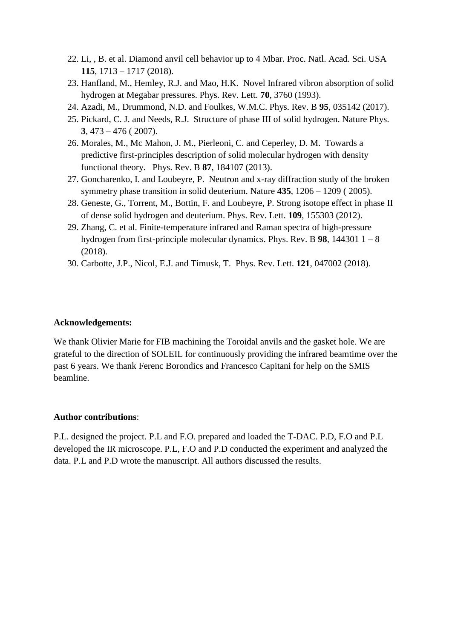- 22. Li, , B. et al. Diamond anvil cell behavior up to 4 Mbar. Proc. Natl. Acad. Sci. USA **115**, 1713 – 1717 (2018).
- 23. Hanfland, M., Hemley, R.J. and Mao, H.K. Novel Infrared vibron absorption of solid hydrogen at Megabar pressures. Phys. Rev. Lett. **70**, 3760 (1993).
- 24. Azadi, M., Drummond, N.D. and Foulkes, W.M.C. Phys. Rev. B **95**, 035142 (2017).
- 25. Pickard, C. J. and Needs, R.J. Structure of phase III of solid hydrogen. Nature Phys. **3**, 473 – 476 ( 2007).
- 26. Morales, M., Mc Mahon, J. M., Pierleoni, C. and Ceperley, D. M. Towards a predictive first-principles description of solid molecular hydrogen with density functional theory. Phys. Rev. B **87**, 184107 (2013).
- 27. Goncharenko, I. and Loubeyre, P. Neutron and x-ray diffraction study of the broken symmetry phase transition in solid deuterium. Nature **435**, 1206 – 1209 ( 2005).
- 28. Geneste, G., Torrent, M., Bottin, F. and Loubeyre, P. Strong isotope effect in phase II of dense solid hydrogen and deuterium. Phys. Rev. Lett. **109**, 155303 (2012).
- 29. Zhang, C. et al. Finite-temperature infrared and Raman spectra of high-pressure hydrogen from first-principle molecular dynamics. Phys. Rev. B **98**, 144301 1 – 8 (2018).
- 30. Carbotte, J.P., Nicol, E.J. and Timusk, T. Phys. Rev. Lett. **121**, 047002 (2018).

### **Acknowledgements:**

We thank Olivier Marie for FIB machining the Toroidal anvils and the gasket hole. We are grateful to the direction of SOLEIL for continuously providing the infrared beamtime over the past 6 years. We thank Ferenc Borondics and Francesco Capitani for help on the SMIS beamline.

#### **Author contributions**:

P.L. designed the project. P.L and F.O. prepared and loaded the T-DAC. P.D, F.O and P.L developed the IR microscope. P.L, F.O and P.D conducted the experiment and analyzed the data. P.L and P.D wrote the manuscript. All authors discussed the results.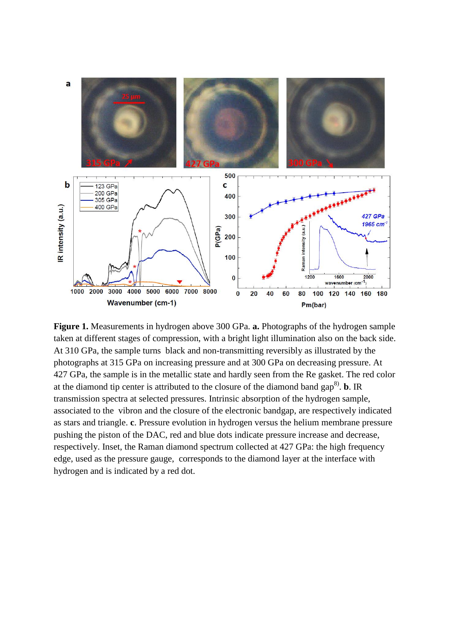

**Figure 1.** Measurements in hydrogen above 300 GPa. **a.** Photographs of the hydrogen sample taken at different stages of compression, with a bright light illumination also on the back side. At 310 GPa, the sample turns black and non-transmitting reversibly as illustrated by the photographs at 315 GPa on increasing pressure and at 300 GPa on decreasing pressure. At 427 GPa, the sample is in the metallic state and hardly seen from the Re gasket. The red color at the diamond tip center is attributed to the closure of the diamond band  $\text{gap}^{8}$ . **b**. IR transmission spectra at selected pressures. Intrinsic absorption of the hydrogen sample, associated to the vibron and the closure of the electronic bandgap, are respectively indicated as stars and triangle. **c**. Pressure evolution in hydrogen versus the helium membrane pressure pushing the piston of the DAC, red and blue dots indicate pressure increase and decrease, respectively. Inset, the Raman diamond spectrum collected at 427 GPa: the high frequency edge, used as the pressure gauge, corresponds to the diamond layer at the interface with hydrogen and is indicated by a red dot.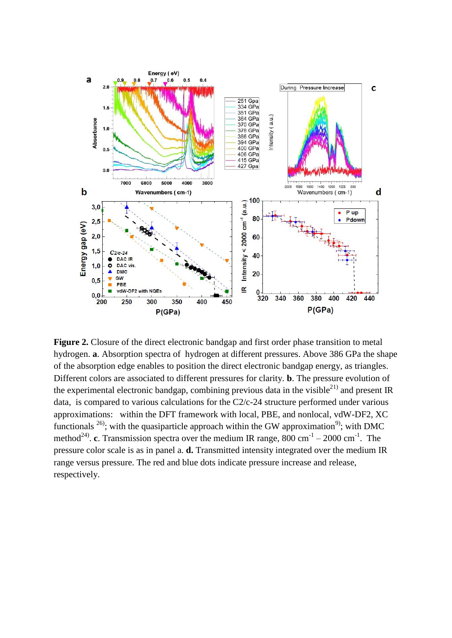

**Figure 2.** Closure of the direct electronic bandgap and first order phase transition to metal hydrogen. **a**. Absorption spectra of hydrogen at different pressures. Above 386 GPa the shape of the absorption edge enables to position the direct electronic bandgap energy, as triangles. Different colors are associated to different pressures for clarity. **b**. The pressure evolution of the experimental electronic bandgap, combining previous data in the visible<sup>21)</sup> and present IR data, is compared to various calculations for the C2/c-24 structure performed under various approximations: within the DFT framework with local, PBE, and nonlocal, vdW-DF2, XC functionals  $^{26}$ ; with the quasiparticle approach within the GW approximation<sup>9</sup>; with DMC method<sup>24)</sup>. **c**. Transmission spectra over the medium IR range, 800 cm<sup>-1</sup> – 2000 cm<sup>-1</sup>. The pressure color scale is as in panel a. **d.** Transmitted intensity integrated over the medium IR range versus pressure. The red and blue dots indicate pressure increase and release, respectively.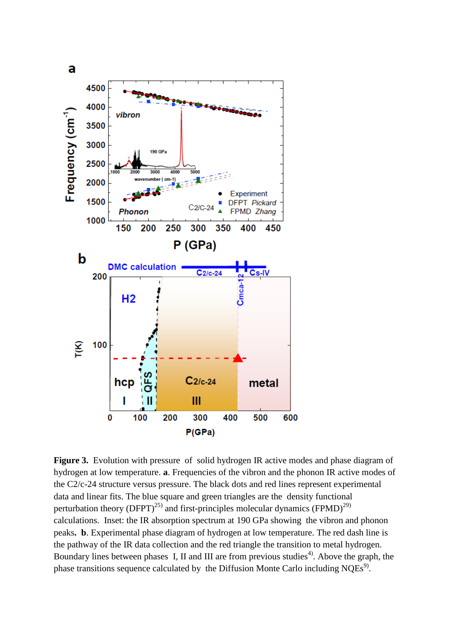

**Figure 3.** Evolution with pressure of solid hydrogen IR active modes and phase diagram of hydrogen at low temperature. **a**. Frequencies of the vibron and the phonon IR active modes of the C2/c-24 structure versus pressure. The black dots and red lines represent experimental data and linear fits. The blue square and green triangles are the density functional perturbation theory (DFPT)<sup>25)</sup> and first-principles molecular dynamics (FPMD)<sup>29)</sup> calculations. Inset: the IR absorption spectrum at 190 GPa showing the vibron and phonon peaks**. b**. Experimental phase diagram of hydrogen at low temperature. The red dash line is the pathway of the IR data collection and the red triangle the transition to metal hydrogen. Boundary lines between phases I, II and III are from previous studies<sup>4)</sup>. Above the graph, the phase transitions sequence calculated by the Diffusion Monte Carlo including  $NQEs<sup>9</sup>$ .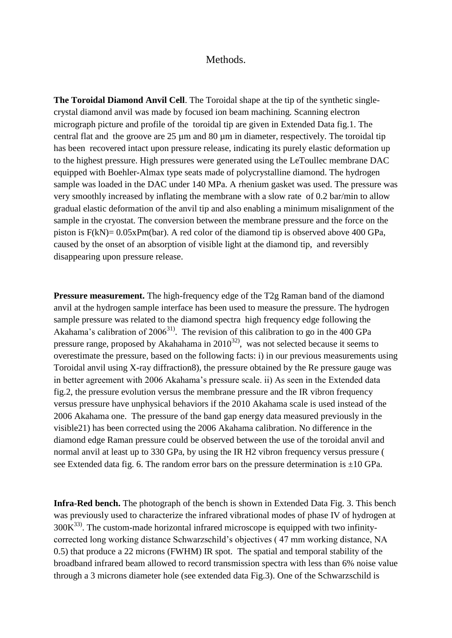## Methods.

**The Toroidal Diamond Anvil Cell**. The Toroidal shape at the tip of the synthetic singlecrystal diamond anvil was made by focused ion beam machining. Scanning electron micrograph picture and profile of the toroidal tip are given in Extended Data fig.1. The central flat and the groove are 25 µm and 80 µm in diameter, respectively. The toroidal tip has been recovered intact upon pressure release, indicating its purely elastic deformation up to the highest pressure. High pressures were generated using the LeToullec membrane DAC equipped with Boehler-Almax type seats made of polycrystalline diamond. The hydrogen sample was loaded in the DAC under 140 MPa. A rhenium gasket was used. The pressure was very smoothly increased by inflating the membrane with a slow rate of 0.2 bar/min to allow gradual elastic deformation of the anvil tip and also enabling a minimum misalignment of the sample in the cryostat. The conversion between the membrane pressure and the force on the piston is F(kN)= 0.05xPm(bar). A red color of the diamond tip is observed above 400 GPa, caused by the onset of an absorption of visible light at the diamond tip, and reversibly disappearing upon pressure release.

**Pressure measurement.** The high-frequency edge of the T2g Raman band of the diamond anvil at the hydrogen sample interface has been used to measure the pressure. The hydrogen sample pressure was related to the diamond spectra high frequency edge following the Akahama's calibration of  $2006^{31}$ . The revision of this calibration to go in the 400 GPa pressure range, proposed by Akahahama in  $2010^{32}$ , was not selected because it seems to overestimate the pressure, based on the following facts: i) in our previous measurements using Toroidal anvil using X-ray diffraction8), the pressure obtained by the Re pressure gauge was in better agreement with 2006 Akahama's pressure scale. ii) As seen in the Extended data fig.2, the pressure evolution versus the membrane pressure and the IR vibron frequency versus pressure have unphysical behaviors if the 2010 Akahama scale is used instead of the 2006 Akahama one. The pressure of the band gap energy data measured previously in the visible21) has been corrected using the 2006 Akahama calibration. No difference in the diamond edge Raman pressure could be observed between the use of the toroidal anvil and normal anvil at least up to 330 GPa, by using the IR H2 vibron frequency versus pressure ( see Extended data fig. 6. The random error bars on the pressure determination is  $\pm 10$  GPa.

**Infra-Red bench.** The photograph of the bench is shown in Extended Data Fig. 3. This bench was previously used to characterize the infrared vibrational modes of phase IV of hydrogen at  $300K<sup>33</sup>$ . The custom-made horizontal infrared microscope is equipped with two infinitycorrected long working distance Schwarzschild's objectives ( 47 mm working distance, NA 0.5) that produce a 22 microns (FWHM) IR spot. The spatial and temporal stability of the broadband infrared beam allowed to record transmission spectra with less than 6% noise value through a 3 microns diameter hole (see extended data Fig.3). One of the Schwarzschild is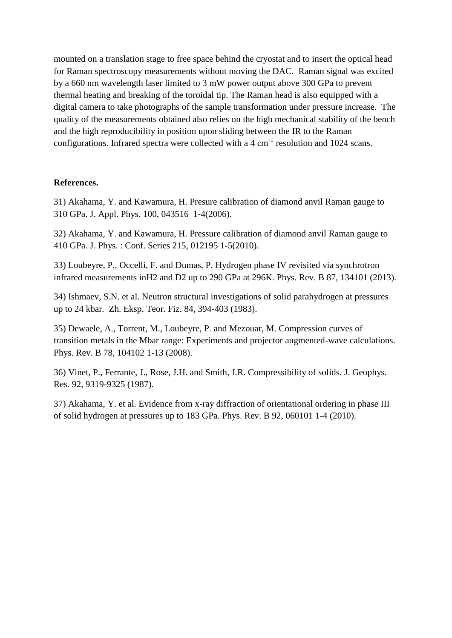mounted on a translation stage to free space behind the cryostat and to insert the optical head for Raman spectroscopy measurements without moving the DAC. Raman signal was excited by a 660 nm wavelength laser limited to 3 mW power output above 300 GPa to prevent thermal heating and breaking of the toroidal tip. The Raman head is also equipped with a digital camera to take photographs of the sample transformation under pressure increase. The quality of the measurements obtained also relies on the high mechanical stability of the bench and the high reproducibility in position upon sliding between the IR to the Raman configurations. Infrared spectra were collected with a  $4 \text{ cm}^{-1}$  resolution and 1024 scans.

# **References.**

31) Akahama, Y. and Kawamura, H. Presure calibration of diamond anvil Raman gauge to 310 GPa. J. Appl. Phys. 100, 043516 1-4(2006).

32) Akahama, Y. and Kawamura, H. Pressure calibration of diamond anvil Raman gauge to 410 GPa. J. Phys. : Conf. Series 215, 012195 1-5(2010).

33) Loubeyre, P., Occelli, F. and Dumas, P. Hydrogen phase IV revisited via synchrotron infrared measurements inH2 and D2 up to 290 GPa at 296K. Phys. Rev. B 87, 134101 (2013).

34) Ishmaev, S.N. et al. Neutron structural investigations of solid parahydrogen at pressures up to 24 kbar. Zh. Eksp. Teor. Fiz. 84, 394-403 (1983).

35) Dewaele, A., Torrent, M., Loubeyre, P. and Mezouar, M. Compression curves of transition metals in the Mbar range: Experiments and projector augmented-wave calculations. Phys. Rev. B 78, 104102 1-13 (2008).

36) Vinet, P., Ferrante, J., Rose, J.H. and Smith, J.R. Compressibility of solids. J. Geophys. Res. 92, 9319-9325 (1987).

37) Akahama, Y. et al. Evidence from x-ray diffraction of orientational ordering in phase III of solid hydrogen at pressures up to 183 GPa. Phys. Rev. B 92, 060101 1-4 (2010).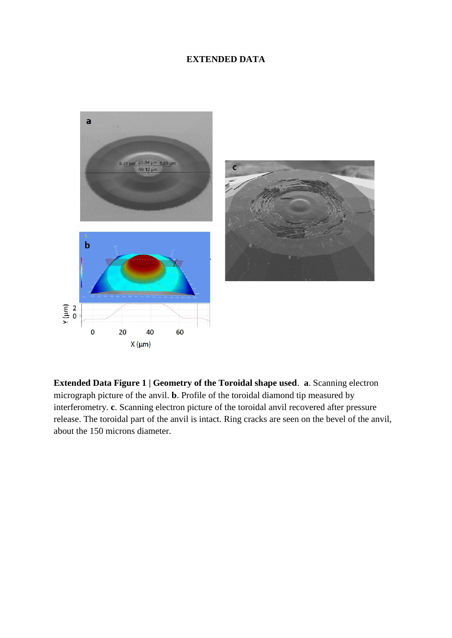# **EXTENDED DATA**



**Extended Data Figure 1 | Geometry of the Toroidal shape used**. **a**. Scanning electron micrograph picture of the anvil. **b**. Profile of the toroidal diamond tip measured by interferometry. **c**. Scanning electron picture of the toroidal anvil recovered after pressure release. The toroidal part of the anvil is intact. Ring cracks are seen on the bevel of the anvil, about the 150 microns diameter.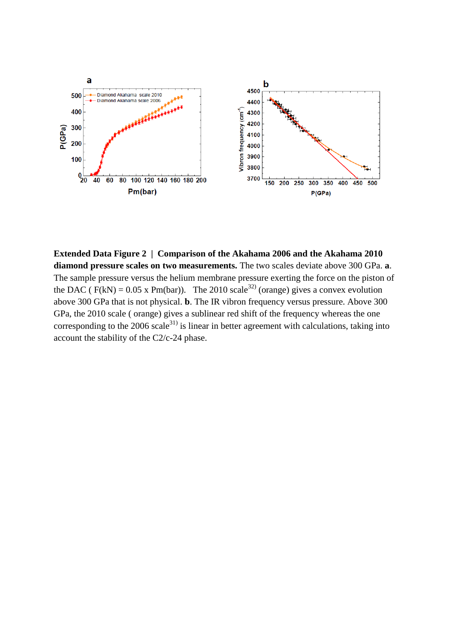

**Extended Data Figure 2 | Comparison of the Akahama 2006 and the Akahama 2010 diamond pressure scales on two measurements.** The two scales deviate above 300 GPa. **a**. The sample pressure versus the helium membrane pressure exerting the force on the piston of the DAC ( $F(kN) = 0.05$  x Pm(bar)). The 2010 scale<sup>32)</sup> (orange) gives a convex evolution above 300 GPa that is not physical. **b**. The IR vibron frequency versus pressure. Above 300 GPa, the 2010 scale ( orange) gives a sublinear red shift of the frequency whereas the one corresponding to the  $2006$  scale<sup>31)</sup> is linear in better agreement with calculations, taking into account the stability of the C2/c-24 phase.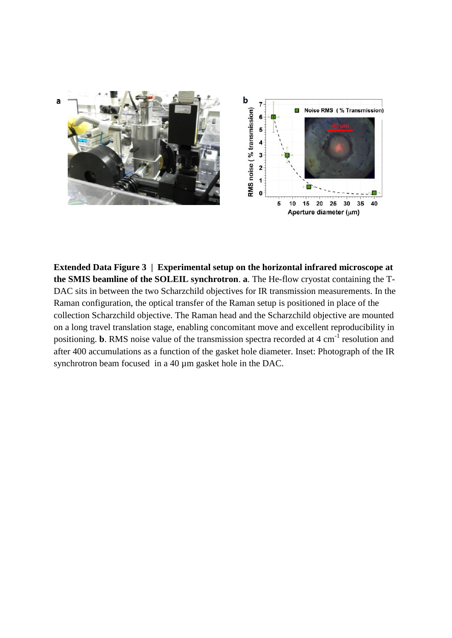

**Extended Data Figure 3 | Experimental setup on the horizontal infrared microscope at the SMIS beamline of the SOLEIL synchrotron**. **a**. The He-flow cryostat containing the T-DAC sits in between the two Scharzchild objectives for IR transmission measurements. In the Raman configuration, the optical transfer of the Raman setup is positioned in place of the collection Scharzchild objective. The Raman head and the Scharzchild objective are mounted on a long travel translation stage, enabling concomitant move and excellent reproducibility in positioning. **b**. RMS noise value of the transmission spectra recorded at 4 cm<sup>-1</sup> resolution and after 400 accumulations as a function of the gasket hole diameter. Inset: Photograph of the IR synchrotron beam focused in a 40  $\mu$ m gasket hole in the DAC.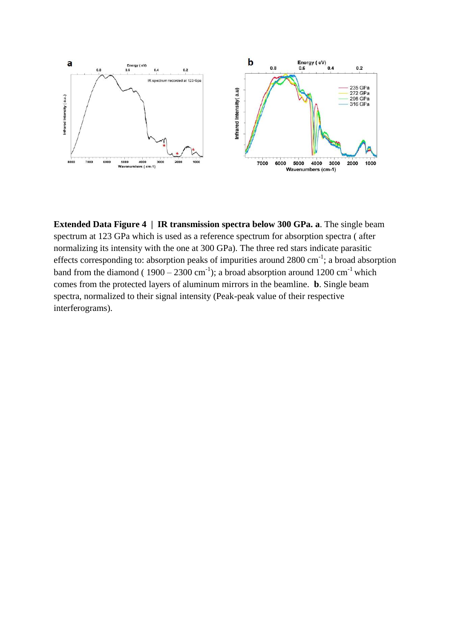

**Extended Data Figure 4 | IR transmission spectra below 300 GPa. a**. The single beam spectrum at 123 GPa which is used as a reference spectrum for absorption spectra ( after normalizing its intensity with the one at 300 GPa). The three red stars indicate parasitic effects corresponding to: absorption peaks of impurities around  $2800 \text{ cm}^{-1}$ ; a broad absorption band from the diamond ( $1900 - 2300$  cm<sup>-1</sup>); a broad absorption around  $1200$  cm<sup>-1</sup> which comes from the protected layers of aluminum mirrors in the beamline. **b**. Single beam spectra, normalized to their signal intensity (Peak-peak value of their respective interferograms).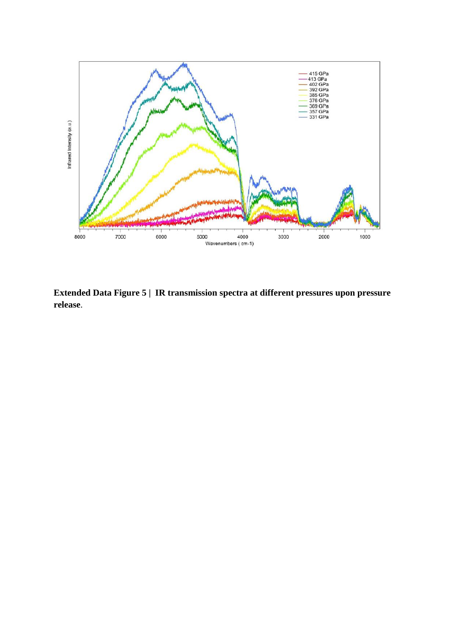![](_page_15_Figure_0.jpeg)

**Extended Data Figure 5 | IR transmission spectra at different pressures upon pressure release**.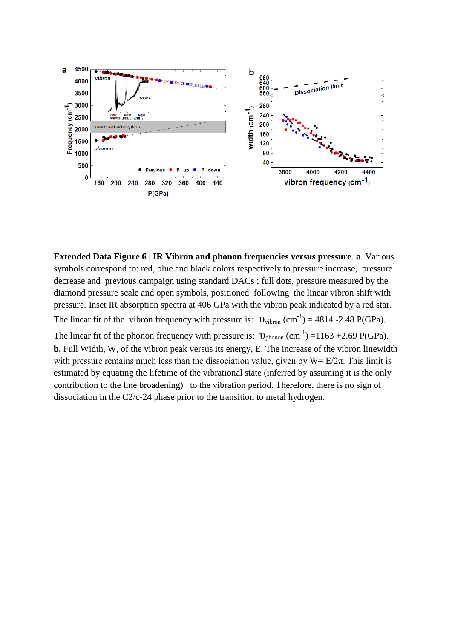![](_page_16_Figure_0.jpeg)

**Extended Data Figure 6 | IR Vibron and phonon frequencies versus pressure**. **a**. Various symbols correspond to: red, blue and black colors respectively to pressure increase, pressure decrease and previous campaign using standard DACs ; full dots, pressure measured by the diamond pressure scale and open symbols, positioned following the linear vibron shift with pressure. Inset IR absorption spectra at 406 GPa with the vibron peak indicated by a red star. The linear fit of the vibron frequency with pressure is:  $v_{\text{vibron}}$  (cm<sup>-1</sup>) = 4814 -2.48 P(GPa). The linear fit of the phonon frequency with pressure is:  $v_{\text{phonon}}$  (cm<sup>-1</sup>) = 1163 + 2.69 P(GPa).

**b.** Full Width, W, of the vibron peak versus its energy, E. The increase of the vibron linewidth with pressure remains much less than the dissociation value, given by  $W = E/2\pi$ . This limit is estimated by equating the lifetime of the vibrational state (inferred by assuming it is the only contribution to the line broadening) to the vibration period. Therefore, there is no sign of dissociation in the C2/c-24 phase prior to the transition to metal hydrogen.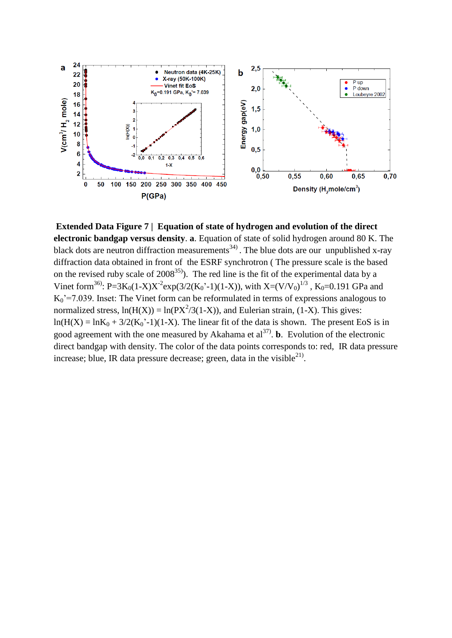![](_page_17_Figure_0.jpeg)

**Extended Data Figure 7 | Equation of state of hydrogen and evolution of the direct electronic bandgap versus density**. **a**. Equation of state of solid hydrogen around 80 K. The black dots are neutron diffraction measurements<sup>34)</sup>. The blue dots are our unpublished x-ray diffraction data obtained in front of the ESRF synchrotron ( The pressure scale is the based on the revised ruby scale of  $2008^{35}$ ). The red line is the fit of the experimental data by a Vinet form<sup>36)</sup>: P=3K<sub>0</sub>(1-X)X<sup>-2</sup>exp(3/2(K<sub>0</sub>'-1)(1-X)), with X=(V/V<sub>0</sub>)<sup>1/3</sup>, K<sub>0</sub>=0.191 GPa and  $K_0$ <sup>2</sup>=7.039. Inset: The Vinet form can be reformulated in terms of expressions analogous to normalized stress,  $ln(H(X)) = ln(PX^2/3(1-X))$ , and Eulerian strain, (1-X). This gives:  $ln(H(X) = lnK_0 + 3/2(K_0^{\text{'-1}})(1-X)$ . The linear fit of the data is shown. The present EoS is in good agreement with the one measured by Akahama et  $al^{37}$ . **b**. Evolution of the electronic direct bandgap with density. The color of the data points corresponds to: red, IR data pressure increase; blue, IR data pressure decrease; green, data in the visible $^{21}$ .